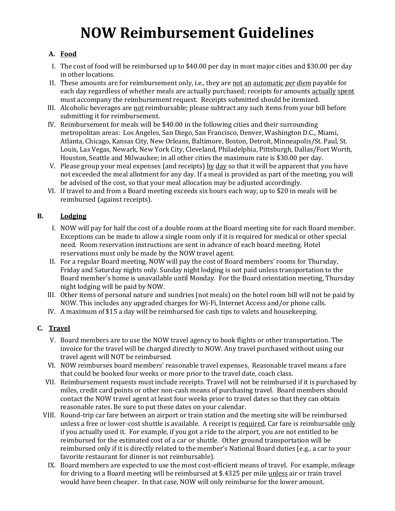# **NOW Reimbursement Guidelines**

## **A. Food**

- I. The cost of food will be reimbursed up to \$40.00 per day in most major cities and \$30.00 per day in other locations.
- II. These amounts are for reimbursement only, i.e., they are not an automatic *per diem* payable for each day regardless of whether meals are actually purchased; receipts for amounts actually spent must accompany the reimbursement request. Receipts submitted should be itemized.
- III. Alcoholic beverages are not reimbursable; please subtract any such items from your bill before submitting it for reimbursement.
- IV. Reimbursement for meals will be \$40.00 in the following cities and their surrounding metropolitan areas: Los Angeles, San Diego, San Francisco, Denver, Washington D.C., Miami, Atlanta, Chicago, Kansas City, New Orleans, Baltimore, Boston, Detroit, Minneapolis/St. Paul, St. Louis, Las Vegas, Newark, New York City, Cleveland, Philadelphia, Pittsburgh, Dallas/Fort Worth, Houston, Seattle and Milwaukee; in all other cities the maximum rate is \$30.00 per day.
- V. Please group your meal expenses (and receipts)  $\underline{b}y \underline{d}dy$  so that it will be apparent that you have not exceeded the meal allotment for any day. If a meal is provided as part of the meeting, you will be advised of the cost, so that your meal allocation may be adjusted accordingly.
- VI. If travel to and from a Board meeting exceeds six hours each way, up to \$20 in meals will be reimbursed (against receipts).

## **B. Lodging**

- I. NOW will pay for half the cost of a double room at the Board meeting site for each Board member. Exceptions can be made to allow a single room only if it is required for medical or other special need. Room reservation instructions are sent in advance of each board meeting. Hotel reservations must only be made by the NOW travel agent.
- II. For a regular Board meeting, NOW will pay the cost of Board members' rooms for Thursday, Friday and Saturday nights only. Sunday night lodging is not paid unless transportation to the Board member's home is unavailable until Monday. For the Board orientation meeting, Thursday night lodging will be paid by NOW.
- III. Other items of personal nature and sundries (not meals) on the hotel room bill will not be paid by NOW. This includes any upgraded charges for Wi-Fi, Internet Access and/or phone calls.
- IV. A maximum of \$15 a day will be reimbursed for cash tips to valets and housekeeping.

## **C. Travel**

- V. Board members are to use the NOW travel agency to book flights or other transportation. The invoice for the travel will be charged directly to NOW. Any travel purchased without using our travel agent will NOT be reimbursed.
- VI. NOW reimburses board members' reasonable travel expenses. Reasonable travel means a fare that could be booked four weeks or more prior to the travel date, coach class.
- VII. Reimbursement requests must include receipts. Travel will not be reimbursed if it is purchased by miles, credit card points or other non-cash means of purchasing travel. Board members should contact the NOW travel agent at least four weeks prior to travel dates so that they can obtain reasonable rates. Be sure to put these dates on your calendar.
- VIII. Round-trip car fare between an airport or train station and the meeting site will be reimbursed unless a free or lower-cost shuttle is available. A receipt is required. Car fare is reimbursable only if you actually used it. For example, if you got a ride to the airport, you are not entitled to be reimbursed for the estimated cost of a car or shuttle. Other ground transportation will be reimbursed only if it is directly related to the member's National Board duties (e.g., a car to your favorite restaurant for dinner is not reimbursable).
- IX. Board members are expected to use the most cost-efficient means of travel. For example, mileage for driving to a Board meeting will be reimbursed at \$.4325 per mile unless air or train travel would have been cheaper. In that case, NOW will only reimburse for the lower amount.